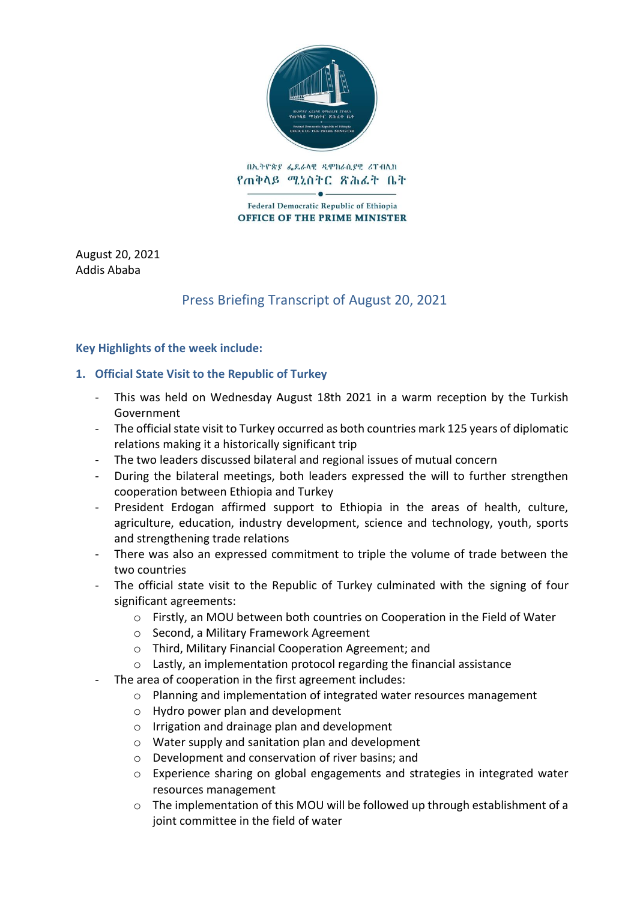

በኢትዮጵያ ፌዴራላዊ ዲሞክራሲያዊ ሪፐብሊክ የጠቅላይ ሚኒስትር ጽሕፈት ቤት

Federal Democratic Republic of Ethiopia **OFFICE OF THE PRIME MINISTER** 

August 20, 2021 Addis Ababa

# Press Briefing Transcript of August 20, 2021

### **Key Highlights of the week include:**

## **1. Official State Visit to the Republic of Turkey**

- This was held on Wednesday August 18th 2021 in a warm reception by the Turkish Government
- The official state visit to Turkey occurred as both countries mark 125 years of diplomatic relations making it a historically significant trip
- The two leaders discussed bilateral and regional issues of mutual concern
- During the bilateral meetings, both leaders expressed the will to further strengthen cooperation between Ethiopia and Turkey
- President Erdogan affirmed support to Ethiopia in the areas of health, culture, agriculture, education, industry development, science and technology, youth, sports and strengthening trade relations
- There was also an expressed commitment to triple the volume of trade between the two countries
- The official state visit to the Republic of Turkey culminated with the signing of four significant agreements:
	- $\circ$  Firstly, an MOU between both countries on Cooperation in the Field of Water
	- o Second, a Military Framework Agreement
	- o Third, Military Financial Cooperation Agreement; and
	- o Lastly, an implementation protocol regarding the financial assistance
- The area of cooperation in the first agreement includes:
	- o Planning and implementation of integrated water resources management
	- o Hydro power plan and development
	- o Irrigation and drainage plan and development
	- o Water supply and sanitation plan and development
	- o Development and conservation of river basins; and
	- o Experience sharing on global engagements and strategies in integrated water resources management
	- o The implementation of this MOU will be followed up through establishment of a joint committee in the field of water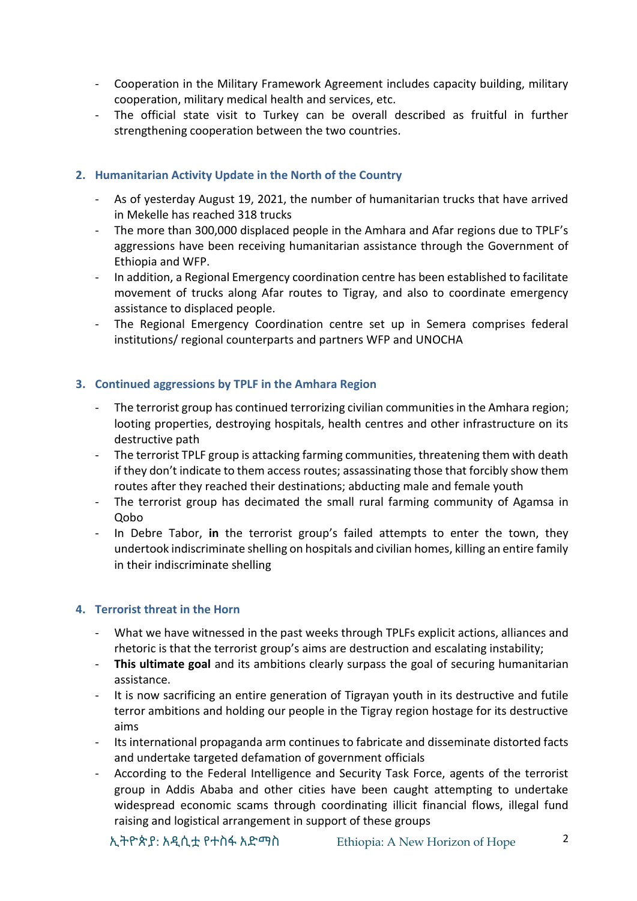- Cooperation in the Military Framework Agreement includes capacity building, military cooperation, military medical health and services, etc.
- The official state visit to Turkey can be overall described as fruitful in further strengthening cooperation between the two countries.

### **2. Humanitarian Activity Update in the North of the Country**

- As of yesterday August 19, 2021, the number of humanitarian trucks that have arrived in Mekelle has reached 318 trucks
- The more than 300,000 displaced people in the Amhara and Afar regions due to TPLF's aggressions have been receiving humanitarian assistance through the Government of Ethiopia and WFP.
- In addition, a Regional Emergency coordination centre has been established to facilitate movement of trucks along Afar routes to Tigray, and also to coordinate emergency assistance to displaced people.
- The Regional Emergency Coordination centre set up in Semera comprises federal institutions/ regional counterparts and partners WFP and UNOCHA

## **3. Continued aggressions by TPLF in the Amhara Region**

- The terrorist group has continued terrorizing civilian communities in the Amhara region; looting properties, destroying hospitals, health centres and other infrastructure on its destructive path
- The terrorist TPLF group is attacking farming communities, threatening them with death if they don't indicate to them access routes; assassinating those that forcibly show them routes after they reached their destinations; abducting male and female youth
- The terrorist group has decimated the small rural farming community of Agamsa in Qobo
- In Debre Tabor, **in** the terrorist group's failed attempts to enter the town, they undertook indiscriminate shelling on hospitals and civilian homes, killing an entire family in their indiscriminate shelling

### **4. Terrorist threat in the Horn**

- What we have witnessed in the past weeks through TPLFs explicit actions, alliances and rhetoric is that the terrorist group's aims are destruction and escalating instability;
- **This ultimate goal** and its ambitions clearly surpass the goal of securing humanitarian assistance.
- It is now sacrificing an entire generation of Tigrayan youth in its destructive and futile terror ambitions and holding our people in the Tigray region hostage for its destructive aims
- Its international propaganda arm continues to fabricate and disseminate distorted facts and undertake targeted defamation of government officials
- According to the Federal Intelligence and Security Task Force, agents of the terrorist group in Addis Ababa and other cities have been caught attempting to undertake widespread economic scams through coordinating illicit financial flows, illegal fund raising and logistical arrangement in support of these groups